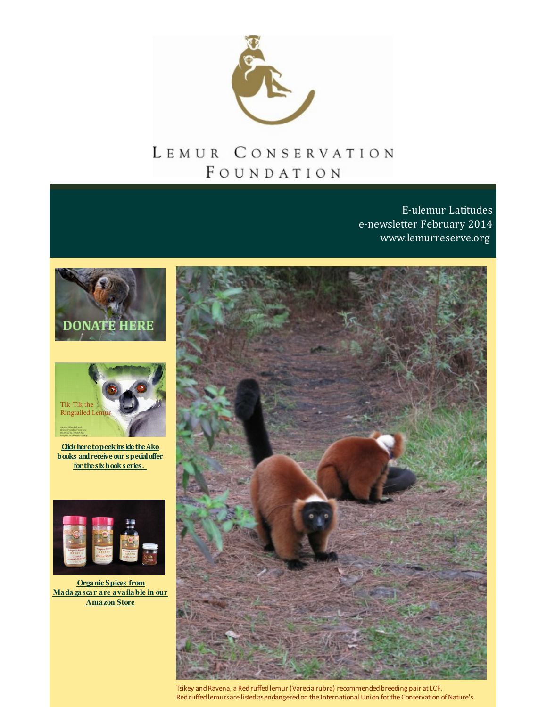

# LEMUR CONSERVATION FOUNDATION

E-ulemur Latitudes e-newsletter February 2014 [www.lemurreserve.org](http://www.lemurreserve.org)





**Click here to peek inside the Ako books** and receive our **special offer for thesixbookseries.**



**Organic Spices from [Madagascar](http://r20.rs6.net/tn.jsp?f=001vdhAAfRsFsOvUPyjUVTPu2GI205-LA0r4N-7HRBjxtyvcWf9NVWPVvLApXzeNxfXb5LrZc7CYoMTPom2dEpp1vh305d6tWoXwQGDUdvRYYJ_bat3XiCY0Aba2qQKkQn6v-hkgNwhrpHVZCb0XvlfL_qTeKlzLIUbxIeLAXPXFyqpBmXjhB0yhr5OqcRB_ARQ&c=&ch=) are available in our Amazon Store**



Tsikey and Ravena, a Red ruffed lemur (Varecia rubra) recommended breeding pair at LCF. Red ruffed lemursare listed as endangered on the International Union for the Conservation of Nature's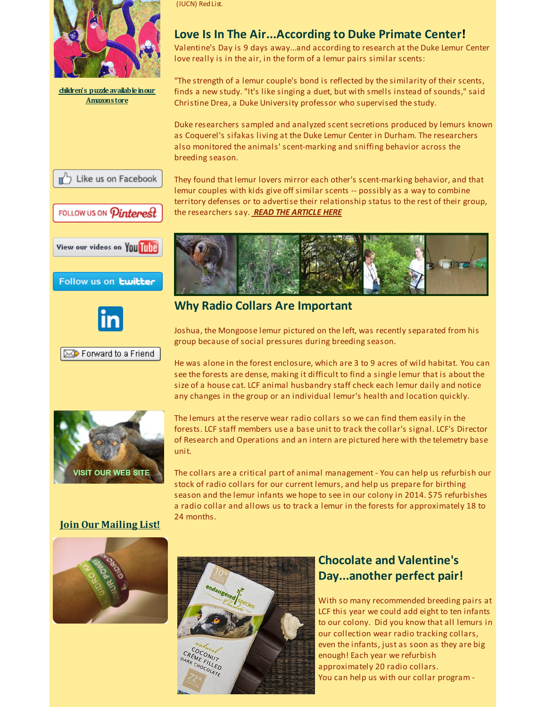

**children's [puzzleavailableinour](http://r20.rs6.net/tn.jsp?f=001vdhAAfRsFsOvUPyjUVTPu2GI205-LA0r4N-7HRBjxtyvcWf9NVWPVvLApXzeNxfXb5LrZc7CYoMTPom2dEpp1vh305d6tWoXwQGDUdvRYYJ_bat3XiCY0Aba2qQKkQn6v-hkgNwhrpHVZCb0XvlfL_qTeKlzLIUbxIeLAXPXFyqpBmXjhB0yhr5OqcRB_ARQ&c=&ch=) Amazonstore**

(IUCN) RedList.

### **Love Is In The Air...According to Duke Primate Center!**

Valentine's Day is 9 days away...and according to research at the Duke Lemur Center love really is in the air, in the form of a lemur pairs similar scents:

"The strength of a lemur couple's bond is reflected by the similarity of their scents, finds a new study. "It's like singing a duet, but with smells instead of sounds," said Christine Drea, a Duke University professor who supervised the study.

Duke researchers sampled and analyzed scent secretions produced by lemurs known as Coquerel's sifakas living at the Duke Lemur Center in Durham. The researchers also monitored the animals' scent-marking and sniffing behavior across the breeding season.

They found that lemur lovers mirror each other's scent-marking behavior, and that lemur couples with kids give off similar scents -- possibly as a way to combine territory defenses or to advertise their relationship status to the rest of their group,

b Like us on Facebook

FOLLOW US ON *Pinterest* 



Follow us on **twitter** 



Forward to a Friend



### **Why Radio Collars Are Important**

the researchers say. *READ THE [ARTICLE](http://r20.rs6.net/tn.jsp?f=001vdhAAfRsFsOvUPyjUVTPu2GI205-LA0r4N-7HRBjxtyvcWf9NVWPVg5GXYnuqKYGKthVGPyQrYQfdinrboqvpVo5SmAjukIf2nI_82zI5-dKxvu5je5IFHEqJXNP8ayjg5EuQ5e8ueFZ85pgVsMP1SzgxbF-GpnNj6FVQZiwGUI_yOOQUbcQD8hbV2Jte6z2ituNqVzx0_g=&c=&ch=) HERE*

Joshua, the Mongoose lemur pictured on the left, was recently separated from his group because of social pressures during breeding season.

He was alone in the forest enclosure, which are 3 to 9 acres of wild habitat. You can see the forests are dense, making it difficult to find a single lemur that is about the size of a house cat. LCF animal husbandry staff check each lemur daily and notice any changes in the group or an individual lemur's health and location quickly.



The lemurs at the reserve wear radio collars so we can find them easily in the forests. LCF staff members use a base unit to track the collar's signal. LCF's Director of Research and Operations and an intern are pictured here with the telemetry base unit.

The collars are a critical part of animal management - You can help us refurbish our stock of radio collars for our current lemurs, and help us prepare for birthing season and the lemur infants we hope to see in our colony in 2014. \$75 refurbishes a radio collar and allows us to track a lemur in the forests for approximately 18 to 24 months.

**Join Our [Mailing](http://visitor.r20.constantcontact.com/email.jsp?m=1110407556333) List!**



## **Chocolate and Valentine's Day...another perfect pair!**

With so many recommended breeding pairs at LCF this year we could add eight to ten infants to our colony. Did you know that all lemurs in our collection wear radio tracking collars, even the infants, just as soon as they are big enough! Each year we refurbish approximately 20 radio collars. You can help us with our collar program -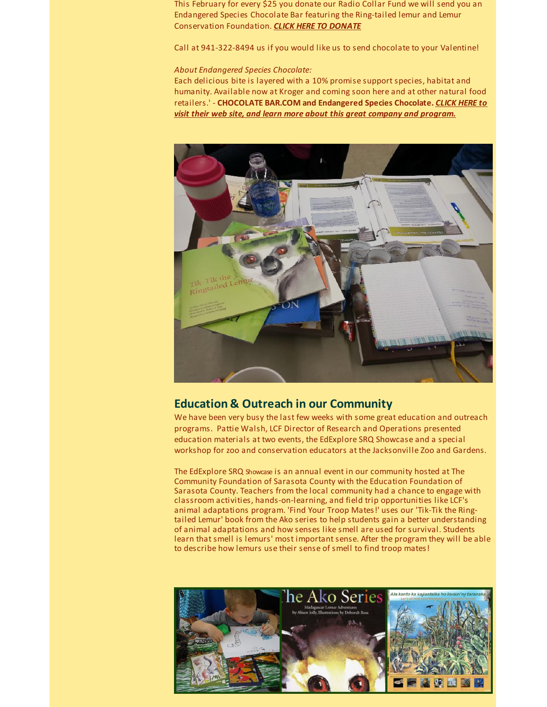This February for every \$25 you donate our Radio Collar Fund we will send you an Endangered Species Chocolate Bar featuring the Ring-tailed lemur and Lemur Conservation Foundation. *CLICK HERE TO [DONATE](http://r20.rs6.net/tn.jsp?f=001vdhAAfRsFsOvUPyjUVTPu2GI205-LA0r4N-7HRBjxtyvcWf9NVWPVhH5ddSts6zODlTzz6BwwjoxfbH6K_wrjVtUPlB1W9qZCkBh41xBx3PaGPfvgVcH4FTPUQc1_V0fzQg13cCwzr0PG0k1PJNdsGs1fd0fshf_JUDlIA7omKj-AY_IFZBPzRRuw4krP8Y5&c=&ch=)*

Call at 941-322-8494 us if you would like us to send chocolate to your Valentine!

### *About Endangered Species Chocolate:*

Each delicious bite is layered with a 10% promise support species, habitat and humanity. Available now at Kroger and coming soon here and at other natural food retailers.' - **[CHOCOLATE](http://r20.rs6.net/tn.jsp?f=001vdhAAfRsFsOvUPyjUVTPu2GI205-LA0r4N-7HRBjxtyvcWf9NVWPVvLApXzeNxfXp3nt4waOucT7CJL_F6XliXUvs4eqzoFnAYH5xRQVl8bcEdaX7RfWRED5zQ7sWd96MqST-4CZVleCJUZg_iALnLDLSqV42oZDV4xD7BTxvX_5E50cGzFGc5RFcYVl1utyLDvxtcW_rcjZGXgvmiFuoNWDp-YMDx1dvyWUyw_tF_Lwgl4EOBKTaFDQ0UshppPNoAEcjjVFGVPrU9zF-1ospGP8CyvyMnX8&c=&ch=) BAR.COM and Endangered Species Chocolate.** *CLICK HERE to visit their web site, and learn more about this great company and program.*



### **Education & Outreach in our Community**

We have been very busy the last few weeks with some great education and outreach programs. Pattie Walsh, LCF Director of Research and Operations presented education materials at two events, the EdExplore SRQ Showcase and a special workshop for zoo and conservation educators at the Jacksonville Zoo and Gardens.

The EdExplore SRQ Showcase is an annual event in our community hosted at The Community Foundation of Sarasota County with the Education Foundation of Sarasota County. Teachers from the local community had a chance to engage with classroom activities, hands-on-learning, and field trip opportunities like LCF's animal adaptations program. 'Find Your Troop Mates!' uses our 'Tik-Tik the Ringtailed Lemur' book from the Ako series to help students gain a better understanding of animal adaptations and how senses like smell are used for survival. Students learn that smell is lemurs' most important sense. After the program they will be able to describe how lemurs use their sense of smell to find troop mates!